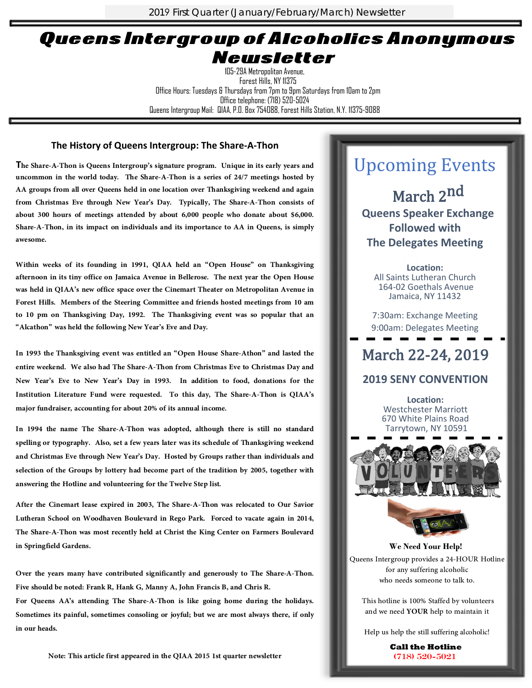2019 First Quarter (January/February/March) Newsletter

### QueensIntergroup of Alcoholics Anonymous Newsletter

105-29A Metropolitan Avenue, Forest Hills, NY 11375 Office Hours: Tuesdays & Thursdays from 7pm to 9pm Saturdays from 10am to 2pm Office telephone: (718) 520-5024 Queens Intergroup Mail: QIAA, P.O. Box 754088, Forest Hills Station, N.Y. 11375-9088

#### **The History of Queens Intergroup: The Share-A-Thon**

The Share-A-Thon is Queens Intergroup's signature program. Unique in its early years and uncommon in the world today. The Share-A-Thon is a series of 24/7 meetings hosted by AA groups from all over Queens held in one locat

Within weeks of its founding in 1991, QIAA held an "Open House" on Thanksgiving<br>afternoon in its tiny office on Jamaica Avenue in Bellerose. The next year the Open House<br>was held in QIAA's new office space over the Cinemar

In 1993 the Thanksgiving event was entitled an "Open House Share-Athon" and lasted the entire weekend. We also had The Share-A-Thon from Christmas Eve to Christmas Day and New Year's Eve to New Year's Day in 1993. In addit

Over the years many have contributed significantly and generously to The Share-A-Thon.<br>Five should be noted: Frank R, Hank G, Manny A, John Francis B, and Chris R.<br>For Queens AA's attending The Share-A-Thon is like going h

**Note: This article first appeared in the QIAA 2015 1st quarter newsletter** 

## Upcoming Events

March 2<sup>nd</sup> **Queens Speaker Exchange Followed with The Delegates Meeting** 

**Location:**  All Saints Lutheran Church 164-02 Goethals Avenue Jamaica, NY 11432

7:30am: Exchange Meeting 9:00am: Delegates Meeting

### March 22-24, 2019

#### **2019 SENY CONVENTION**

**Location:**  Westchester Marriott 670 White Plains Road Tarrytown, NY 10591





**We Need Your Help!** Queens Intergroup provides a 24-HOUR Hotline<br>for any suffering alcoholic<br>who needs someone to talk to.<br>This hotline is 100% Staffed by volunteers<br>and we need YOUR help to maintain it<br>Help us help the still suffering alcoho

**Call the Hotline** (718) 520-5021